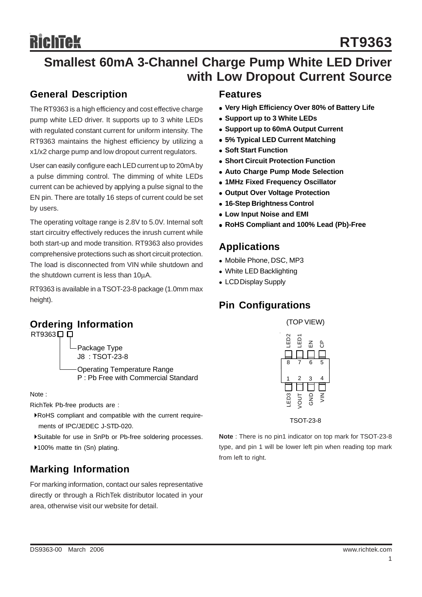# **Smallest 60mA 3-Channel Charge Pump White LED Driver with Low Dropout Current Source**

#### **General Description**

The RT9363 is a high efficiency and cost effective charge pump white LED driver. It supports up to 3 white LEDs with regulated constant current for uniform intensity. The RT9363 maintains the highest efficiency by utilizing a x1/x2 charge pump and low dropout current regulators.

User can easily configure each LED current up to 20mA by a pulse dimming control. The dimming of white LEDs current can be achieved by applying a pulse signal to the EN pin. There are totally 16 steps of current could be set by users.

The operating voltage range is 2.8V to 5.0V. Internal soft start circuitry effectively reduces the inrush current while both start-up and mode transition. RT9363 also provides comprehensive protections such as short circuit protection. The load is disconnected from VIN while shutdown and the shutdown current is less than 10μA.

RT9363 is available in a TSOT-23-8 package (1.0mm max height).

## **Ordering Information**

RT9363□□

Package Type J8 : TSOT-23-8

Operating Temperature Range P : Pb Free with Commercial Standard

Note :

RichTek Pb-free products are :

- `RoHS compliant and compatible with the current require ments of IPC/JEDEC J-STD-020.
- `Suitable for use in SnPb or Pb-free soldering processes.
- ▶100% matte tin (Sn) plating.

# **Marking Information**

For marking information, contact our sales representative directly or through a RichTek distributor located in your area, otherwise visit our website for detail.

#### **Features**

- Very High Efficiency Over 80% of Battery Life
- **Support up to 3 White LEDs**
- **Support up to 60mA Output Current**
- **5% Typical LED Current Matching**
- **Soft Start Function**
- **Short Circuit Protection Function**
- **Auto Charge Pump Mode Selection**
- <sup>z</sup> **1MHz Fixed Frequency Oscillator**
- **Output Over Voltage Protection**
- <sup>z</sup> **16-Step Brightness Control**
- **Low Input Noise and EMI**
- <sup>z</sup> **RoHS Compliant and 100% Lead (Pb)-Free**

#### **Applications**

- Mobile Phone, DSC, MP3
- White LED Backlighting
- LCD Display Supply

## **Pin Configurations**



TSOT-23-8

**Note** : There is no pin1 indicator on top mark for TSOT-23-8 type, and pin 1 will be lower left pin when reading top mark from left to right.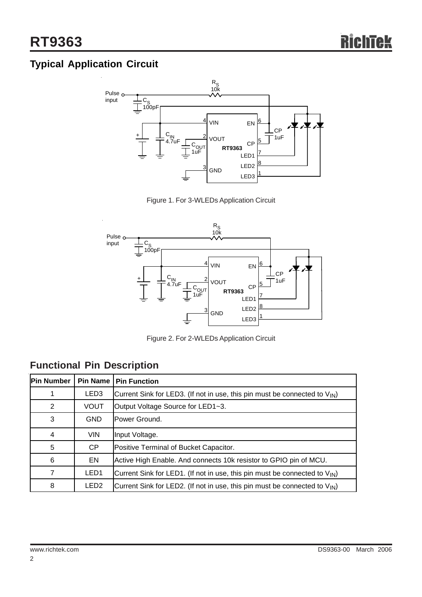# **Typical Application Circuit**



Figure 1. For 3-WLEDs Application Circuit



Figure 2. For 2-WLEDs Application Circuit

| Pin Number | Pin Name         | <b>Pin Function</b>                                                                    |  |  |  |
|------------|------------------|----------------------------------------------------------------------------------------|--|--|--|
|            | LED <sub>3</sub> | Current Sink for LED3. (If not in use, this pin must be connected to $V_{\text{IN}}$ ) |  |  |  |
| 2          | <b>VOUT</b>      | Output Voltage Source for LED1~3.                                                      |  |  |  |
| 3          | <b>GND</b>       | Power Ground.                                                                          |  |  |  |
| 4          | <b>VIN</b>       | Input Voltage.                                                                         |  |  |  |
| 5          | CP               | Positive Terminal of Bucket Capacitor.                                                 |  |  |  |
| 6          | EN               | Active High Enable. And connects 10k resistor to GPIO pin of MCU.                      |  |  |  |
|            | LED <sub>1</sub> | Current Sink for LED1. (If not in use, this pin must be connected to $V_{\text{IN}}$ ) |  |  |  |
| 8          | LED <sub>2</sub> | Current Sink for LED2. (If not in use, this pin must be connected to $V_{\text{IN}}$ ) |  |  |  |

# **Functional Pin Description**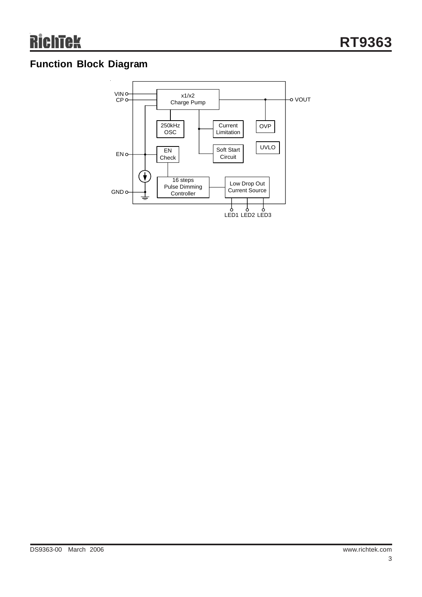# **Function Block Diagram**

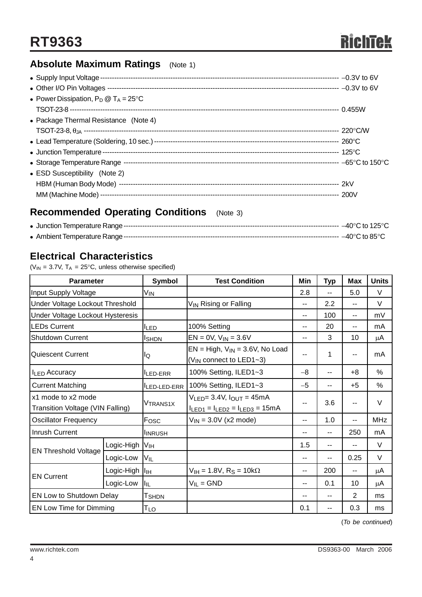# **Absolute Maximum Ratings** (Note 1)

| • Power Dissipation, $P_D @ T_A = 25^{\circ}C$ |  |
|------------------------------------------------|--|
|                                                |  |
| • Package Thermal Resistance (Note 4)          |  |
|                                                |  |
|                                                |  |
|                                                |  |
|                                                |  |
| • ESD Susceptibility (Note 2)                  |  |
|                                                |  |
|                                                |  |

# **Recommended Operating Conditions** (Note 3)

## **Electrical Characteristics**

( $V_{IN}$  = 3.7V,  $T_A$  = 25°C, unless otherwise specified)

| <b>Parameter</b>                                       |            | Symbol                      | <b>Test Condition</b>                                                                | Min                      | <b>Typ</b>     | Max  | <b>Units</b> |
|--------------------------------------------------------|------------|-----------------------------|--------------------------------------------------------------------------------------|--------------------------|----------------|------|--------------|
| Input Supply Voltage                                   |            | V <sub>IN</sub>             |                                                                                      | 2.8                      | $\overline{a}$ | 5.0  | V            |
| Under Voltage Lockout Threshold                        |            |                             | V <sub>IN</sub> Rising or Falling                                                    | --                       | 2.2            | $-$  | $\vee$       |
| Under Voltage Lockout Hysteresis                       |            |                             |                                                                                      | $-$                      | 100            | $-$  | mV           |
| <b>LEDs Current</b>                                    |            | 100% Setting<br><b>ILED</b> |                                                                                      | $\overline{\phantom{a}}$ | 20             | --   | mA           |
| <b>Shutdown Current</b>                                |            | <b>I</b> SHDN               | $EN = 0V$ , $V_{IN} = 3.6V$                                                          | --                       | 3              | 10   | $\mu$ A      |
| <b>Quiescent Current</b>                               |            | lQ                          | $EN = High, V_{IN} = 3.6V, No Load$<br>--<br>$(V_{IN}$ connect to LED1~3)            |                          | 1              |      | mA           |
| I <sub>LED</sub> Accuracy                              |            | <b>ILED-ERR</b>             | 100% Setting, ILED1~3                                                                | $-8$                     | --             | $+8$ | $\%$         |
| <b>Current Matching</b>                                |            | LED-LED-ERR                 | 100% Setting, ILED1~3                                                                | $-5$                     | --             | $+5$ | $\%$         |
| x1 mode to x2 mode<br>Transition Voltage (VIN Falling) |            | <b>VTRANS1X</b>             | $V_{LED} = 3.4V$ , $I_{OUT} = 45mA$<br>--<br>$I_{LED1} = I_{LED2} = I_{LED3} = 15mA$ |                          | 3.6            |      | V            |
| <b>Oscillator Frequency</b>                            |            | Fosc                        | $V_{IN}$ = 3.0V (x2 mode)                                                            | $\overline{\phantom{a}}$ | 1.0            |      | <b>MHz</b>   |
| <b>Inrush Current</b>                                  |            | <b>INRUSH</b>               |                                                                                      | --                       | $-1$           | 250  | mA           |
|                                                        | Logic-High | Vıн                         |                                                                                      | 1.5                      | $-1$           |      | V            |
| <b>EN Threshold Voltage</b>                            | Logic-Low  | VIL                         |                                                                                      | $-$                      | $\overline{a}$ | 0.25 | $\vee$       |
| <b>EN Current</b>                                      | Logic-High | IIн                         | $V_{\text{IH}} = 1.8V$ , R <sub>S</sub> = 10k $\Omega$                               | $\overline{\phantom{a}}$ | 200            | $-$  | μA           |
|                                                        | Logic-Low  | llı∟                        | $V_{IL} = GND$                                                                       | $\overline{\phantom{a}}$ | 0.1            | 10   | μA           |
| EN Low to Shutdown Delay                               |            | T <sub>SHDN</sub>           |                                                                                      | --                       | --             | 2    | ms           |
| EN Low Time for Dimming                                |            | $T_{LO}$                    |                                                                                      | 0.1                      | --             | 0.3  | ms           |

(*To be continued*)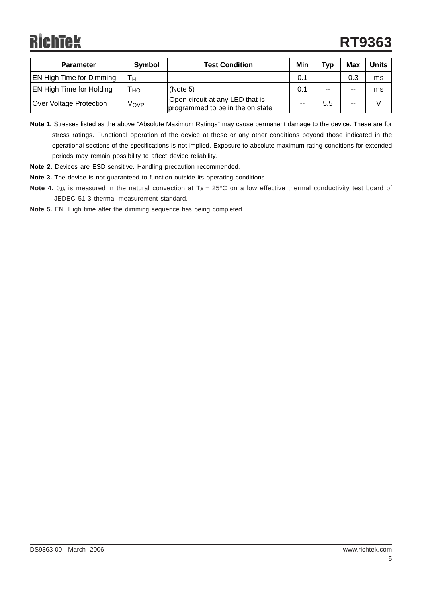| <b>Parameter</b>                | Symbol | <b>Test Condition</b>                                               | Min | Typ   | Max   | <b>Units</b> |
|---------------------------------|--------|---------------------------------------------------------------------|-----|-------|-------|--------------|
| <b>EN High Time for Dimming</b> | HI     |                                                                     | 0.1 | $- -$ | 0.3   | ms           |
| <b>EN High Time for Holding</b> | HO     | (Note 5)                                                            | 0.1 | $-$   | $- -$ | ms           |
| Over Voltage Protection         | Vovp   | Open circuit at any LED that is<br>programmed to be in the on state | --  | 5.5   | --    |              |

**Note 1.** Stresses listed as the above "Absolute Maximum Ratings" may cause permanent damage to the device. These are for stress ratings. Functional operation of the device at these or any other conditions beyond those indicated in the operational sections of the specifications is not implied. Exposure to absolute maximum rating conditions for extended periods may remain possibility to affect device reliability.

- **Note 2.** Devices are ESD sensitive. Handling precaution recommended.
- **Note 3.** The device is not guaranteed to function outside its operating conditions.
- **Note 4.** θ<sub>JA</sub> is measured in the natural convection at T<sub>A</sub> = 25°C on a low effective thermal conductivity test board of JEDEC 51-3 thermal measurement standard.
- **Note 5.** EN High time after the dimming sequence has being completed.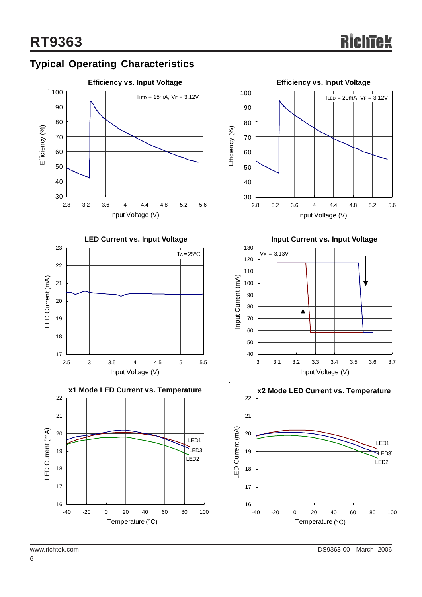









**Input Current vs. Input Voltage**



**x2 Mode LED Current vs. Temperature**

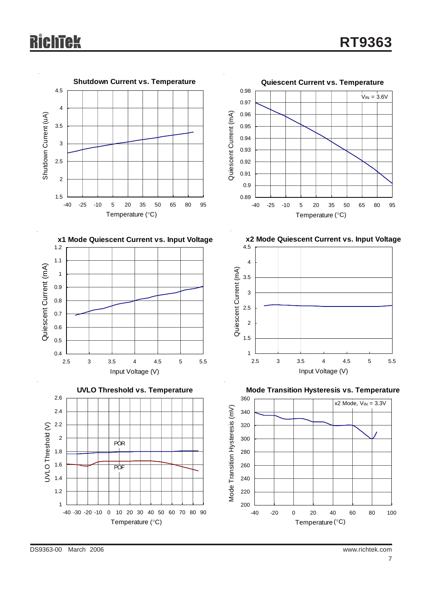# ichīek

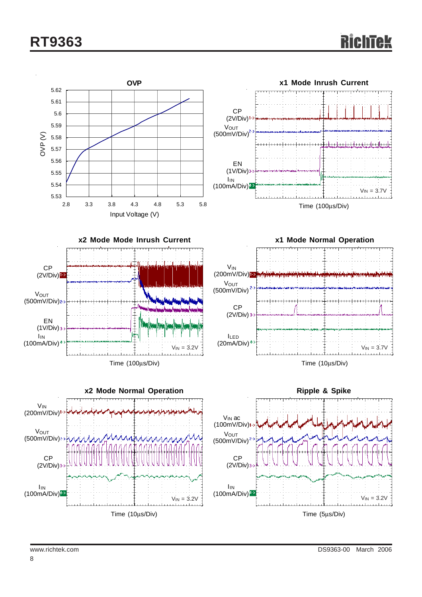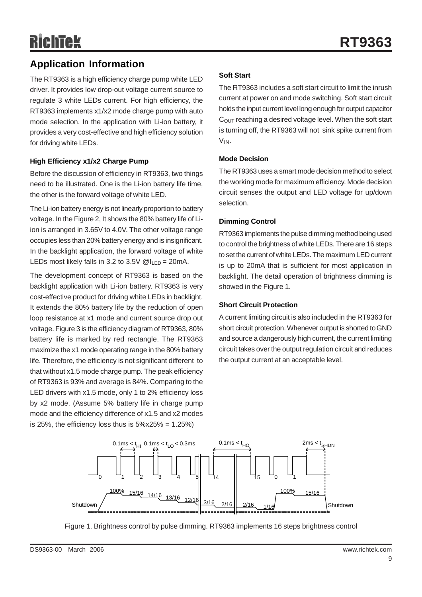# **Application Information**

The RT9363 is a high efficiency charge pump white LED driver. It provides low drop-out voltage current source to regulate 3 white LEDs current. For high efficiency, the RT9363 implements x1/x2 mode charge pump with auto mode selection. In the application with Li-ion battery, it provides a very cost-effective and high efficiency solution for driving white LEDs.

#### **High Efficiency x1/x2 Charge Pump**

Before the discussion of efficiency in RT9363, two things need to be illustrated. One is the Li-ion battery life time, the other is the forward voltage of white LED.

The Li-ion battery energy is not linearly proportion to battery voltage. In the Figure 2, It shows the 80% battery life of Liion is arranged in 3.65V to 4.0V. The other voltage range occupies less than 20% battery energy and is insignificant. In the backlight application, the forward voltage of white LEDs most likely falls in 3.2 to 3.5V  $@I_{\text{LED}} = 20 \text{mA}$ .

The development concept of RT9363 is based on the backlight application with Li-ion battery. RT9363 is very cost-effective product for driving white LEDs in backlight. It extends the 80% battery life by the reduction of open loop resistance at x1 mode and current source drop out voltage. Figure 3 is the efficiency diagram of RT9363, 80% battery life is marked by red rectangle. The RT9363 maximize the x1 mode operating range in the 80% battery life. Therefore, the efficiency is not significant different to that without x1.5 mode charge pump. The peak efficiency of RT9363 is 93% and average is 84%. Comparing to the LED drivers with x1.5 mode, only 1 to 2% efficiency loss by x2 mode. (Assume 5% battery life in charge pump mode and the efficiency difference of x1.5 and x2 modes is 25%, the efficiency loss thus is  $5\frac{25}{6} = 1.25\%$ 

#### **Soft Start**

The RT9363 includes a soft start circuit to limit the inrush current at power on and mode switching. Soft start circuit holds the input current level long enough for output capacitor  $C<sub>OUT</sub>$  reaching a desired voltage level. When the soft start is turning off, the RT9363 will not sink spike current from VIN.

#### **Mode Decision**

The RT9363 uses a smart mode decision method to select the working mode for maximum efficiency. Mode decision circuit senses the output and LED voltage for up/down selection.

#### **Dimming Control**

RT9363 implements the pulse dimming method being used to control the brightness of white LEDs. There are 16 steps to set the current of white LEDs. The maximum LED current is up to 20mA that is sufficient for most application in backlight. The detail operation of brightness dimming is showed in the Figure 1.

#### **Short Circuit Protection**

A current limiting circuit is also included in the RT9363 for short circuit protection. Whenever output is shorted to GND and source a dangerously high current, the current limiting circuit takes over the output regulation circuit and reduces the output current at an acceptable level.



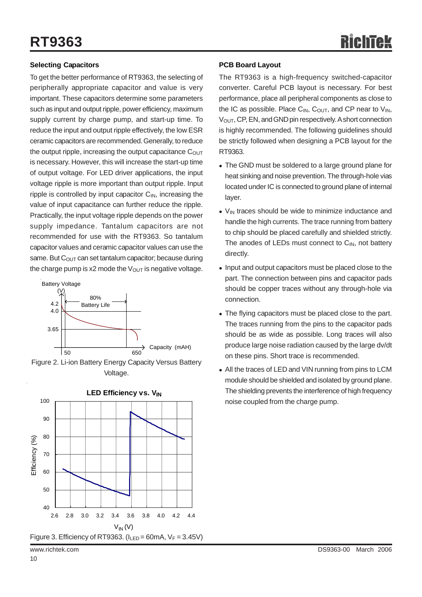#### **Selecting Capacitors**

To get the better performance of RT9363, the selecting of peripherally appropriate capacitor and value is very important. These capacitors determine some parameters such as input and output ripple, power efficiency, maximum supply current by charge pump, and start-up time. To reduce the input and output ripple effectively, the low ESR ceramic capacitors are recommended. Generally, to reduce the output ripple, increasing the output capacitance  $C<sub>OUT</sub>$ is necessary. However, this will increase the start-up time of output voltage. For LED driver applications, the input voltage ripple is more important than output ripple. Input ripple is controlled by input capacitor  $C_{\text{IN}}$ , increasing the value of input capacitance can further reduce the ripple. Practically, the input voltage ripple depends on the power supply impedance. Tantalum capacitors are not recommended for use with the RT9363. So tantalum capacitor values and ceramic capacitor values can use the same. But  $C<sub>OUT</sub>$  can set tantalum capacitor; because during the charge pump is x2 mode the  $V_{\text{OUT}}$  is negative voltage.







#### **PCB Board Layout**

The RT9363 is a high-frequency switched-capacitor converter. Careful PCB layout is necessary. For best performance, place all peripheral components as close to the IC as possible. Place  $C_{IN}$ ,  $C_{OUT}$ , and CP near to  $V_{IN}$ , V<sub>OUT</sub>, CP, EN, and GND pin respectively. A short connection is highly recommended. The following guidelines should be strictly followed when designing a PCB layout for the RT9363.

- The GND must be soldered to a large ground plane for heat sinking and noise prevention. The through-hole vias located under IC is connected to ground plane of internal layer.
- $\bullet$  V<sub>IN</sub> traces should be wide to minimize inductance and handle the high currents. The trace running from battery to chip should be placed carefully and shielded strictly. The anodes of LEDs must connect to  $C_{\text{IN}}$ , not battery directly.
- Input and output capacitors must be placed close to the part. The connection between pins and capacitor pads should be copper traces without any through-hole via connection.
- The flying capacitors must be placed close to the part. The traces running from the pins to the capacitor pads should be as wide as possible. Long traces will also produce large noise radiation caused by the large dv/dt on these pins. Short trace is recommended.
- All the traces of LED and VIN running from pins to LCM module should be shielded and isolated by ground plane. The shielding prevents the interference of high frequency noise coupled from the charge pump.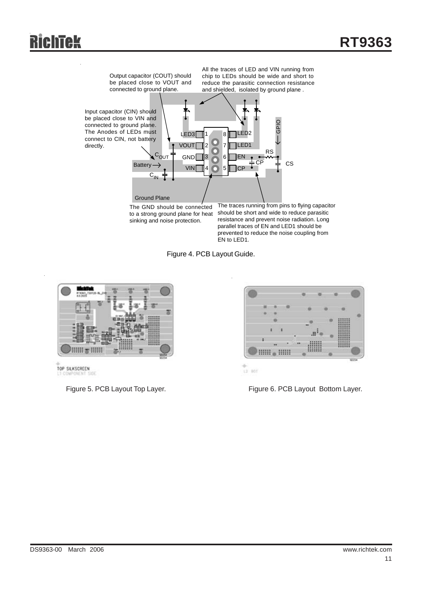



.<br>EN to LED1.



TOP SILKSCREEN

Figure 5. PCB Layout Top Layer.



 $12.801$ 

prevented to reduce the noise coupling from

Figure 6. PCB Layout Bottom Layer.